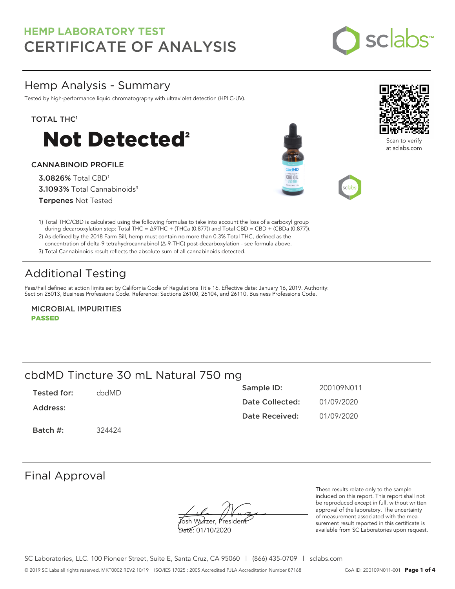

### Hemp Analysis - Summary

Tested by high-performance liquid chromatography with ultraviolet detection (HPLC-UV).

### TOTAL THC<sup>1</sup>



### CANNABINOID PROFILE

3.0826% Total CBD<sup>1</sup> 3.1093% Total Cannabinoids<sup>3</sup> Terpenes Not Tested





Scan to verify at sclabs.com



1) Total THC/CBD is calculated using the following formulas to take into account the loss of a carboxyl group during decarboxylation step: Total THC = ∆9THC + (THCa (0.877)) and Total CBD = CBD + (CBDa (0.877)).

2) As defined by the 2018 Farm Bill, hemp must contain no more than 0.3% Total THC, defined as the concentration of delta-9 tetrahydrocannabinol (Δ-9-THC) post-decarboxylation - see formula above.

3) Total Cannabinoids result reflects the absolute sum of all cannabinoids detected.

## Additional Testing

Pass/Fail defined at action limits set by California Code of Regulations Title 16. Effective date: January 16, 2019. Authority: Section 26013, Business Professions Code. Reference: Sections 26100, 26104, and 26110, Business Professions Code.

MICROBIAL IMPURITIES PASSED

## cbdMD Tincture 30 mL Natural 750 mg

| Tested for: | chdMD. | Sample ID:      | 200109N011 |
|-------------|--------|-----------------|------------|
| Address:    |        | Date Collected: | 01/09/2020 |
|             |        | Date Received:  | 01/09/2020 |
| Batch #:    | 324424 |                 |            |

### Final Approval

**J**osh Wurzer, Presiden<del>t</del>

Date: 01/10/2020

These results relate only to the sample included on this report. This report shall not be reproduced except in full, without written approval of the laboratory. The uncertainty of measurement associated with the measurement result reported in this certificate is available from SC Laboratories upon request.

SC Laboratories, LLC. 100 Pioneer Street, Suite E, Santa Cruz, CA 95060 | (866) 435-0709 | sclabs.com © 2019 SC Labs all rights reserved. MKT0002 REV2 10/19 ISO/IES 17025 : 2005 Accredited PJLA Accreditation Number 87168 CoA ID: 200109N011-001 **Page 1 of 4**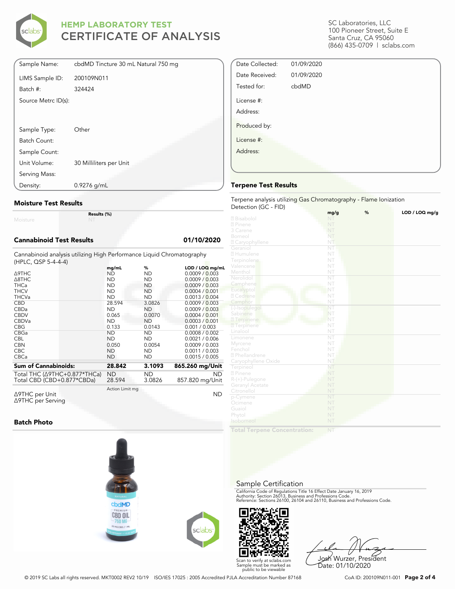

| Sample Name:        | cbdMD Tincture 30 mL Natural 750 mg |
|---------------------|-------------------------------------|
| LIMS Sample ID:     | 200109N011                          |
| Batch #:            | 324424                              |
| Source Metrc ID(s): |                                     |
|                     |                                     |
|                     |                                     |
| Sample Type:        | Other                               |
| Batch Count:        |                                     |
| Sample Count:       |                                     |
| Unit Volume:        | 30 Milliliters per Unit             |
| Serving Mass:       |                                     |
| Density:            | $0.9276$ g/mL                       |

#### **Moisture Test Results**

Moisture

**Results (%)**

### **Cannabinoid Test Results 01/10/2020**

Cannabinoid analysis utilizing High Performance Liquid Chromatography (HPLC, QSP 5-4-4-4)

|                                          | mq/mL           | %         | LOD / LOQ mg/mL |
|------------------------------------------|-----------------|-----------|-----------------|
| ∆9THC                                    | <b>ND</b>       | ND.       | 0.0009 / 0.003  |
| $\triangle$ 8THC                         | <b>ND</b>       | <b>ND</b> | 0.0009 / 0.003  |
| <b>THCa</b>                              | <b>ND</b>       | <b>ND</b> | 0.0009 / 0.003  |
| <b>THCV</b>                              | <b>ND</b>       | ND        | 0.0004 / 0.001  |
| <b>THCVa</b>                             | <b>ND</b>       | <b>ND</b> | 0.0013 / 0.004  |
| <b>CBD</b>                               | 28.594          | 3.0826    | 0.0009 / 0.003  |
| <b>CBDa</b>                              | <b>ND</b>       | <b>ND</b> | 0.0009 / 0.003  |
| <b>CBDV</b>                              | 0.065           | 0.0070    | 0.0004 / 0.001  |
| CBDVa                                    | <b>ND</b>       | <b>ND</b> | 0.0003 / 0.001  |
| <b>CBG</b>                               | 0.133           | 0.0143    | 0.001 / 0.003   |
| CBGa                                     | <b>ND</b>       | <b>ND</b> | 0.0008 / 0.002  |
| <b>CBL</b>                               | <b>ND</b>       | ND.       | 0.0021 / 0.006  |
| <b>CBN</b>                               | 0.050           | 0.0054    | 0.0009 / 0.003  |
| <b>CBC</b>                               | <b>ND</b>       | <b>ND</b> | 0.0011 / 0.003  |
| <b>CBCa</b>                              | <b>ND</b>       | ND        | 0.0015 / 0.005  |
| <b>Sum of Cannabinoids:</b>              | 28.842          | 3.1093    | 865.260 mg/Unit |
|                                          |                 |           |                 |
| Total THC ( $\triangle$ 9THC+0.877*THCa) | <b>ND</b>       | ND.       | <b>ND</b>       |
| Total CBD (CBD+0.877*CBDa)               | 28.594          | 3.0826    | 857.820 mg/Unit |
| Δ9THC per Unit                           | Action Limit mg |           | <b>ND</b>       |

Δ9THC per Unit Δ9THC per Serving

### **Batch Photo**







Josh Wurzer, President Date: 01/10/2020

SC Laboratories, LLC 100 Pioneer Street, Suite E Santa Cruz, CA 95060 (866) 435-0709 | sclabs.com

| Date Collected: | 01/09/2020 |  |
|-----------------|------------|--|
| Date Received:  | 01/09/2020 |  |
| Tested for:     | cbdMD      |  |
| License #:      |            |  |
| Address:        |            |  |
| Produced by:    |            |  |
| License #:      |            |  |
| Address:        |            |  |
|                 |            |  |

### **Terpene Test Results**

Terpene analysis utilizing Gas Chromatography - Flame Ionization Detection (GC - FID)

|                           | %<br>mg/g              | LOD / LOQ mg/g |
|---------------------------|------------------------|----------------|
| 2 Bisabolol               | NT                     |                |
| 2 Pinene                  | NT                     |                |
| 3 Carene                  | NT                     |                |
| Borneol                   | NT                     |                |
| 2 Caryophyllene           | NT                     |                |
| Geraniol                  | NT                     |                |
| 2 Humulene                | NT                     |                |
| Terpinolene               | NT                     |                |
| Valencene                 | NT                     |                |
| Menthol                   | NT                     |                |
| Nerolidol                 | $\overline{\text{NT}}$ |                |
| Camphene                  | NT                     |                |
| Eucalyptol                | NT                     |                |
| 2 Cedrene                 | NT                     |                |
| Camphor                   | NT                     |                |
| (-)-Isopulegol            | NT                     |                |
| Sabinene                  | NT                     |                |
| 27 Terpinene              | NT                     |                |
| 2 Terpinene               | NT                     |                |
| Linalool                  | NT                     |                |
| Limonene                  | $\overline{\text{NT}}$ |                |
| Myrcene                   | NT                     |                |
| Fenchol                   | NT                     |                |
| <sup>2</sup> Phellandrene | NT                     |                |
| Caryophyllene Oxide       | NT                     |                |
| Terpineol                 | NT                     |                |
| 2 Pinene                  | NT                     |                |
| R-(+)-Pulegone            | NT                     |                |
| Geranyl Acetate           | NT                     |                |
| Citronellol               | NT                     |                |
| p-Cymene                  | NT                     |                |
| Ocimene                   | NT                     |                |
| Guaiol                    | NT                     |                |
| Phytol                    | NT                     |                |
| Isoborneol                | NT                     |                |
|                           |                        |                |

**Total Terpene Concentration:**

### Sample Certification

California Code of Regulations Title 16 Effect Date January 16, 2019<br>Authority: Section 26013, Business and Professions Code.<br>Reference: Sections 26100, 26104 and 26110, Business and Professions Code.

Scan to verify at sclabs.com Sample must be marked as public to be viewable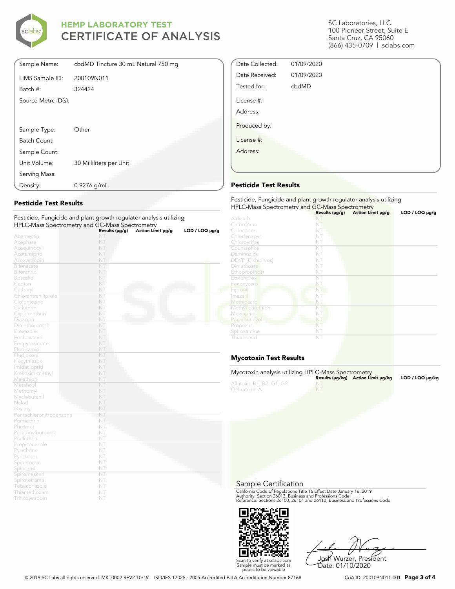

| Sample Name:        | cbdMD Tincture 30 mL Natural 750 mg |
|---------------------|-------------------------------------|
| LIMS Sample ID:     | 200109N011                          |
| Batch #:            | 324424                              |
| Source Metrc ID(s): |                                     |
|                     |                                     |
|                     |                                     |
| Sample Type:        | Other                               |
| Batch Count:        |                                     |
| Sample Count:       |                                     |
| Unit Volume:        | 30 Milliliters per Unit             |
| Serving Mass:       |                                     |
| Density:            | $0.9276$ g/mL                       |

### **Pesticide Test Results**

| Pesticide, Fungicide and plant growth regulator analysis utilizing |                |                   |                     |
|--------------------------------------------------------------------|----------------|-------------------|---------------------|
| HPLC-Mass Spectrometry and GC-Mass Spectrometry                    |                |                   |                     |
|                                                                    | Results (µg/g) | Action Limit µg/g | $LOD / LOQ \mu g/g$ |
| Abamectin                                                          | NT             |                   |                     |
| Acephate                                                           | NT             |                   |                     |
| Acequinocyl                                                        | NT             |                   |                     |
| Acetamiprid                                                        | NT             |                   |                     |
| Azoxystrobin                                                       | NT             |                   |                     |
| <b>Bifenazate</b>                                                  | NT             |                   |                     |
| <b>Bifenthrin</b>                                                  | NT             |                   |                     |
| <b>Boscalid</b>                                                    | NT             |                   |                     |
| Captan                                                             | NT             |                   |                     |
| Carbaryl                                                           | NT             |                   |                     |
| Chlorantraniliprole                                                | NT             |                   |                     |
| Clofentezine                                                       | NT             |                   |                     |
| Cyfluthrin                                                         | NT             |                   |                     |
| Cypermethrin                                                       | NT             |                   |                     |
| Diazinon                                                           | NT             |                   |                     |
| Dimethomorph                                                       | NT             |                   |                     |
| Etoxazole                                                          | NT             |                   |                     |
| Fenhexamid                                                         | NT             |                   |                     |
| Fenpyroximate                                                      | NT             |                   |                     |
| Flonicamid                                                         | NT             |                   |                     |
| Fludioxonil                                                        | NT             |                   |                     |
| Hexythiazox                                                        | NT             |                   |                     |
| Imidacloprid                                                       | NT             |                   |                     |
| Kresoxim-methyl                                                    | NT             |                   |                     |
| Malathion                                                          | NT             |                   |                     |
| Metalaxyl                                                          | NT             |                   |                     |
| Methomyl                                                           | NT             |                   |                     |
| Myclobutanil                                                       | NT             |                   |                     |
| Naled                                                              | NT             |                   |                     |
| Oxamyl                                                             | NT             |                   |                     |
| Pentachloronitrobenzene                                            | NT             |                   |                     |
| Permethrin                                                         | NT             |                   |                     |
| Phosmet                                                            | NT             |                   |                     |
| Piperonylbutoxide                                                  | NT             |                   |                     |
| Prallethrin                                                        | NT             |                   |                     |
| Propiconazole                                                      | NT             |                   |                     |
| Pyrethrins                                                         | NT             |                   |                     |
| Pyridaben                                                          | NT             |                   |                     |
| Spinetoram                                                         | NT             |                   |                     |
| Spinosad                                                           | NT             |                   |                     |
| Spiromesifen                                                       | NT             |                   |                     |
| Spirotetramat                                                      | NT             |                   |                     |
| Tebuconazole                                                       | NT             |                   |                     |
| Thiamethoxam                                                       | NT             |                   |                     |
| Trifloxystrobin                                                    | NT             |                   |                     |

SC Laboratories, LLC 100 Pioneer Street, Suite E Santa Cruz, CA 95060 (866) 435-0709 | sclabs.com

| Date Collected:        | 01/09/2020 |  |
|------------------------|------------|--|
| Date Received:         | 01/09/2020 |  |
| Tested for:            | cbdMD      |  |
| License #:<br>Address: |            |  |
| Produced by:           |            |  |
|                        |            |  |
| License #:             |            |  |
| Address:               |            |  |
|                        |            |  |

### **Pesticide Test Results**

| Pesticide, Fungicide and plant growth regulator analysis utilizing<br>HPLC-Mass Spectrometry and GC-Mass Spectrometry |                     |                   |                |  |  |
|-----------------------------------------------------------------------------------------------------------------------|---------------------|-------------------|----------------|--|--|
|                                                                                                                       | Results $(\mu g/g)$ | Action Limit µg/g | LOD / LOQ µg/g |  |  |
| Aldicarb                                                                                                              |                     |                   |                |  |  |
| Carbofuran                                                                                                            | NT                  |                   |                |  |  |
| Chlordane                                                                                                             | NT                  |                   |                |  |  |
| Chlorfenapyr                                                                                                          | NT                  |                   |                |  |  |
| Chlorpyrifos                                                                                                          | NT                  |                   |                |  |  |
| Coumaphos                                                                                                             | NT                  |                   |                |  |  |
| Daminozide                                                                                                            | NT                  |                   |                |  |  |
| <b>DDVP</b> (Dichlorvos)                                                                                              | NT                  |                   |                |  |  |
| Dimethoate                                                                                                            | NT                  |                   |                |  |  |
| Ethoprop(hos)                                                                                                         | NT                  |                   |                |  |  |
| Etofenprox                                                                                                            | NT                  |                   |                |  |  |
| Fenoxycarb                                                                                                            | NT                  |                   |                |  |  |
| Fipronil                                                                                                              | NT                  |                   |                |  |  |
| Imazalil                                                                                                              | NT                  |                   |                |  |  |
| Methiocarb                                                                                                            | NT                  |                   |                |  |  |
| Methyl parathion                                                                                                      | NT                  |                   |                |  |  |
| Mevinphos                                                                                                             | NT                  |                   |                |  |  |
| Paclobutrazol                                                                                                         | NT                  |                   |                |  |  |
| Propoxur                                                                                                              | NT                  |                   |                |  |  |
| Spiroxamine                                                                                                           | NT                  |                   |                |  |  |
| Thiacloprid                                                                                                           | NT                  |                   |                |  |  |

### **Mycotoxin Test Results**

| Mycotoxin analysis utilizing HPLC-Mass Spectrometry |           | Results (µq/kq) Action Limit µq/kq | LOD / LOQ µq/kg |
|-----------------------------------------------------|-----------|------------------------------------|-----------------|
| Aflatoxin B1, B2, G1, G2<br>Ochratoxin A            | <b>NT</b> |                                    |                 |

Sample Certification

California Code of Regulations Title 16 Effect Date January 16, 2019<br>Authority: Section 26013, Business and Professions Code.<br>Reference: Sections 26100, 26104 and 26110, Business and Professions Code.



Josh Wurzer, President Date: 01/10/2020

© 2019 SC Labs all rights reserved. MKT0002 REV2 10/19 ISO/IES 17025 : 2005 Accredited PJLA Accreditation Number 87168 CoA ID: 200109N011-001 **Page 3 of 4**